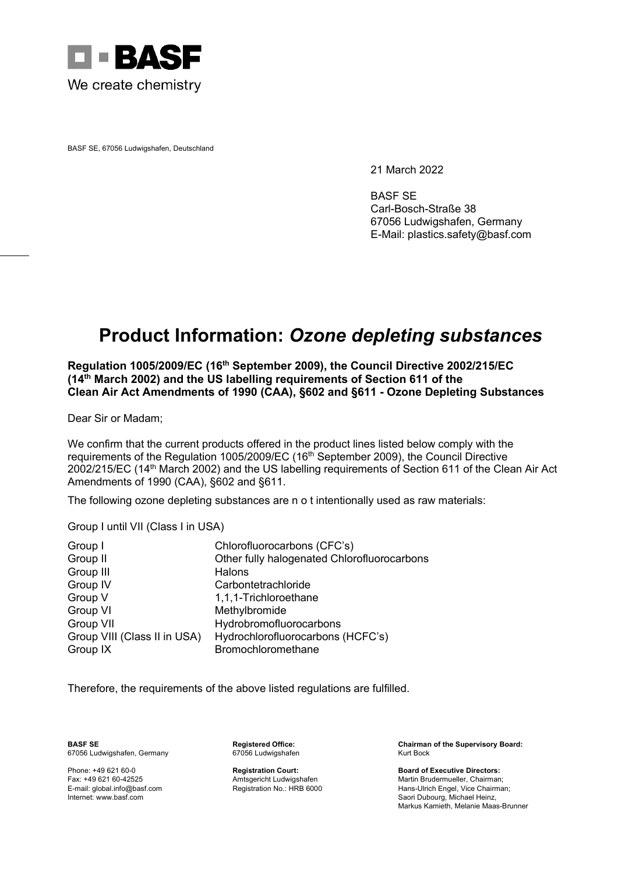

BASF SE, 67056 Ludwigshafen, Deutschland

21 March 2022

BASF SE Carl-Bosch-Straße 38 67056 Ludwigshafen, Germany E-Mail: plastics.safety@basf.com

## **Product Information:** *Ozone depleting substances*

**Regulation 1005/2009/EC (16th September 2009), the Council Directive 2002/215/EC (14th March 2002) and the US labelling requirements of Section 611 of the Clean Air Act Amendments of 1990 (CAA), §602 and §611 - Ozone Depleting Substances**

Dear Sir or Madam;

We confirm that the current products offered in the product lines listed below comply with the requirements of the Regulation 1005/2009/EC (16<sup>th</sup> September 2009), the Council Directive 2002/215/EC (14th March 2002) and the US labelling requirements of Section 611 of the Clean Air Act Amendments of 1990 (CAA), §602 and §611.

The following ozone depleting substances are n o t intentionally used as raw materials:

Group I until VII (Class I in USA)

| Group I                      | Chlorofluorocarbons (CFC's)                 |
|------------------------------|---------------------------------------------|
| Group II                     | Other fully halogenated Chlorofluorocarbons |
| Group III                    | Halons                                      |
| Group IV                     | Carbontetrachloride                         |
| Group V                      | 1,1,1-Trichloroethane                       |
| Group VI                     | Methylbromide                               |
| Group VII                    | Hydrobromofluorocarbons                     |
| Group VIII (Class II in USA) | Hydrochlorofluorocarbons (HCFC's)           |
| Group IX                     | Bromochloromethane                          |

Therefore, the requirements of the above listed regulations are fulfilled.

67056 Ludwigshafen, Germany

**BASF SE Registered Office: Chairman of the Supervisory Board:**

Phone: +49 621 60-0 **Registration Court: Board of Executive Directors:** Fax: +49 621 60-42525 **Amtsgericht Ludwigshafen** Martin Brudermueller, Chairman; Amtsgericht Ludwigshafen Martin Brudermueller, Chairman; E-mail: global.info@basf.com Registration No.: HRB 6000 Hans-Ulrich Engel, Vice Chai E-mail: global.info@basf.com Registration No.: HRB 6000 Hans-Ulrich Engel, Vice Chairman; Saori Dubourg, Michael Heinz, Markus Kamieth, Melanie Maas-Brunner